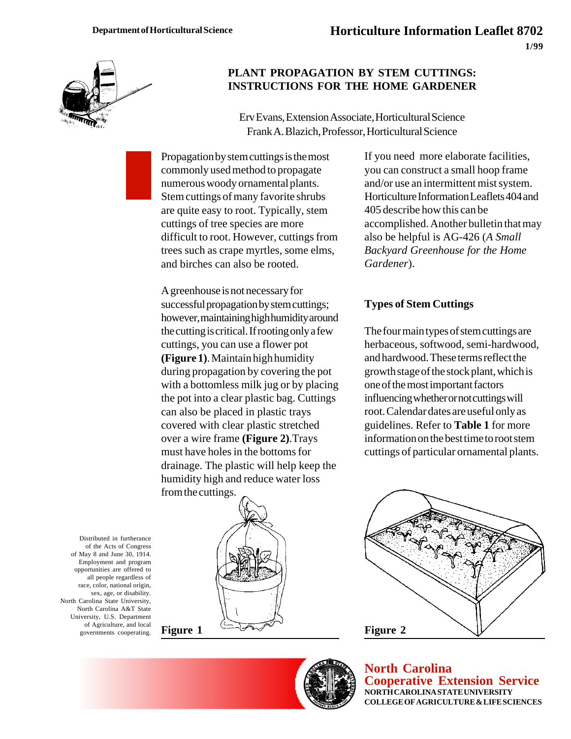

## **PLANT PROPAGATION BY STEM CUTTINGS: INSTRUCTIONS FOR THE HOME GARDENER**

Erv Evans, Extension Associate, Horticultural Science Frank A. Blazich, Professor, Horticultural Science

Propagation by stem cuttings is the most commonly used method to propagate numerous woody ornamental plants. Stem cuttings of many favorite shrubs are quite easy to root. Typically, stem cuttings of tree species are more difficult to root. However, cuttings from trees such as crape myrtles, some elms, and birches can also be rooted.

A greenhouse is not necessary for successful propagation by stem cuttings; however, maintaining high humidity around the cutting is critical. If rooting only a few cuttings, you can use a flower pot **(Figure 1)**. Maintain high humidity during propagation by covering the pot with a bottomless milk jug or by placing the pot into a clear plastic bag. Cuttings can also be placed in plastic trays covered with clear plastic stretched over a wire frame **(Figure 2)**.Trays must have holes in the bottoms for drainage. The plastic will help keep the humidity high and reduce water loss from the cuttings.



#### **Types of Stem Cuttings**

The four main types of stem cuttings are herbaceous, softwood, semi-hardwood, and hardwood. These terms reflect the growth stage of the stock plant, which is one of the most important factors influencing whether or not cuttings will root. Calendar dates are useful only as guidelines. Refer to **Table 1** for more information on the best time to root stem cuttings of particular ornamental plants.

Distributed in furtherance of the Acts of Congress of May 8 and June 30, 1914. Employment and program opportunities are offered to all people regardless of race, color, national origin, sex, age, or disability. North Carolina State University, North Carolina A&T State University, U.S. Department of Agriculture, and local governments cooperating.





**North Carolina Cooperative Extension Service NORTH CAROLINA STATE UNIVERSITY COLLEGE OF AGRICULTURE & LIFE SCIENCES**

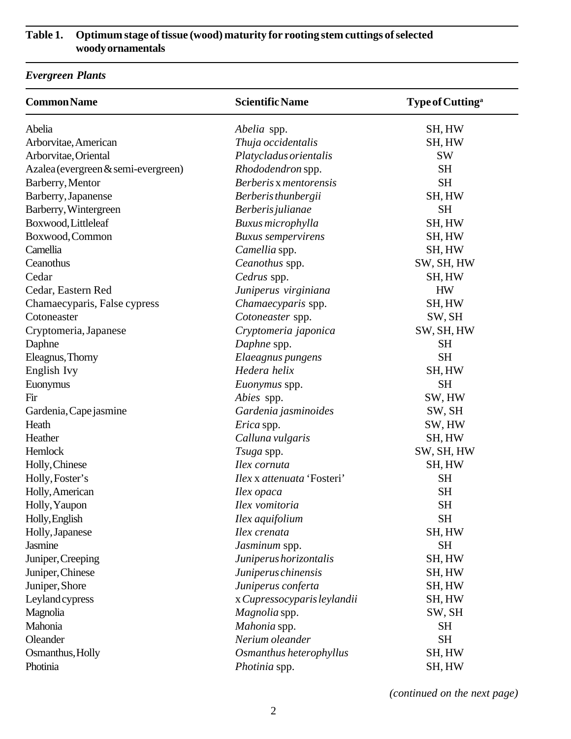# **Table 1. Optimum stage of tissue (wood) maturity for rooting stem cuttings of selected woody ornamentals**

# *Evergreen Plants*

| <b>Common Name</b>                  | <b>Scientific Name</b>      | Type of Cutting <sup>a</sup> |
|-------------------------------------|-----------------------------|------------------------------|
| Abelia                              | <i>Abelia</i> spp.          | SH, HW                       |
| Arborvitae, American                | Thuja occidentalis          | SH, HW                       |
| Arborvitae, Oriental                | Platycladus orientalis      | <b>SW</b>                    |
| Azalea (evergreen & semi-evergreen) | Rhododendron spp.           | <b>SH</b>                    |
| Barberry, Mentor                    | Berberis x mentorensis      | <b>SH</b>                    |
| Barberry, Japanense                 | Berberis thunbergii         | SH, HW                       |
| Barberry, Wintergreen               | Berberis julianae           | <b>SH</b>                    |
| Boxwood, Littleleaf                 | Buxus microphylla           | SH, HW                       |
| Boxwood, Common                     | <b>Buxus</b> sempervirens   | SH, HW                       |
| Camellia                            | Camellia spp.               | SH, HW                       |
| Ceanothus                           | Ceanothus spp.              | SW, SH, HW                   |
| Cedar                               | Cedrus spp.                 | SH, HW                       |
| Cedar, Eastern Red                  | Juniperus virginiana        | <b>HW</b>                    |
| Chamaecyparis, False cypress        | Chamaecyparis spp.          | SH, HW                       |
| Cotoneaster                         | Cotoneaster spp.            | SW, SH                       |
| Cryptomeria, Japanese               | Cryptomeria japonica        | SW, SH, HW                   |
| Daphne                              | Daphne spp.                 | <b>SH</b>                    |
| Eleagnus, Thorny                    | Elaeagnus pungens           | <b>SH</b>                    |
| English Ivy                         | Hedera helix                | SH, HW                       |
| Euonymus                            | Euonymus spp.               | <b>SH</b>                    |
| Fir                                 | Abies spp.                  | SW, HW                       |
| Gardenia, Cape jasmine              | Gardenia jasminoides        | SW, SH                       |
| Heath                               | Erica spp.                  | SW, HW                       |
| Heather                             | Calluna vulgaris            | SH, HW                       |
| Hemlock                             | Tsuga spp.                  | SW, SH, HW                   |
| Holly, Chinese                      | Ilex cornuta                | SH, HW                       |
| Holly, Foster's                     | Ilex x attenuata 'Fosteri'  | <b>SH</b>                    |
| Holly, American                     | Ilex opaca                  | <b>SH</b>                    |
| Holly, Yaupon                       | Ilex vomitoria              | $\operatorname{SH}$          |
| Holly, English                      | Ilex aquifolium             | <b>SH</b>                    |
| Holly, Japanese                     | Ilex crenata                | SH, HW                       |
| Jasmine                             | Jasminum spp.               | <b>SH</b>                    |
| Juniper, Creeping                   | Juniperus horizontalis      | SH, HW                       |
| Juniper, Chinese                    | Juniperus chinensis         | SH, HW                       |
| Juniper, Shore                      | Juniperus conferta          | SH, HW                       |
| Leyland cypress                     | x Cupressocyparis leylandii | SH, HW                       |
| Magnolia                            | Magnolia spp.               | SW, SH                       |
| Mahonia                             | Mahonia spp.                | <b>SH</b>                    |
| Oleander                            | Nerium oleander             | <b>SH</b>                    |
| Osmanthus, Holly                    | Osmanthus heterophyllus     | SH, HW                       |
| Photinia                            | Photinia spp.               | SH, HW                       |

*(continued on the next page)*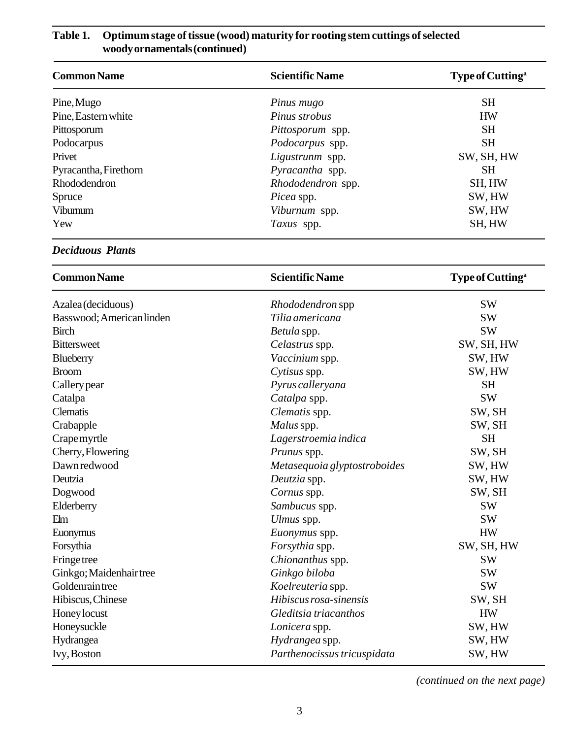| <b>Common Name</b>    | <b>Scientific Name</b> | Type of Cutting <sup>a</sup> |
|-----------------------|------------------------|------------------------------|
| Pine, Mugo            | Pinus mugo             | <b>SH</b>                    |
| Pine, Eastern white   | Pinus strobus          | <b>HW</b>                    |
| Pittosporum           | Pittosporum spp.       | <b>SH</b>                    |
| Podocarpus            | Podocarpus spp.        | <b>SH</b>                    |
| Privet                | Ligustrunm spp.        | SW, SH, HW                   |
| Pyracantha, Firethorn | Pyracantha spp.        | <b>SH</b>                    |
| Rhododendron          | Rhododendron spp.      | SH, HW                       |
| Spruce                | <i>Picea</i> spp.      | SW, HW                       |
| Viburnum              | Viburnum spp.          | SW, HW                       |
| Yew                   | Taxus spp.             | SH, HW                       |

# **Table 1. Optimum stage of tissue (wood) maturity for rooting stem cuttings of selected woody ornamentals (continued)**

### *Deciduous Plant***s**

| <b>Common Name</b>        | <b>Scientific Name</b>       | Type of Cutting <sup>a</sup> |
|---------------------------|------------------------------|------------------------------|
| Azalea (deciduous)        | <i>Rhododendron</i> spp      | <b>SW</b>                    |
| Basswood; American linden | Tilia americana              | <b>SW</b>                    |
| <b>Birch</b>              | Betula spp.                  | <b>SW</b>                    |
| <b>Bittersweet</b>        | Celastrus spp.               | SW, SH, HW                   |
| Blueberry                 | Vaccinium spp.               | SW, HW                       |
| <b>Broom</b>              | Cytisus spp.                 | SW, HW                       |
| Callery pear              | Pyrus calleryana             | <b>SH</b>                    |
| Catalpa                   | Catalpa spp.                 | <b>SW</b>                    |
| <b>Clematis</b>           | Clematis spp.                | SW, SH                       |
| Crabapple                 | Malus spp.                   | SW, SH                       |
| Crape myrtle              | Lagerstroemia indica         | <b>SH</b>                    |
| Cherry, Flowering         | Prunus spp.                  | SW, SH                       |
| Dawnredwood               | Metasequoia glyptostroboides | SW, HW                       |
| Deutzia                   | Deutzia spp.                 | SW, HW                       |
| Dogwood                   | Cornus spp.                  | SW, SH                       |
| Elderberry                | Sambucus spp.                | <b>SW</b>                    |
| Elm                       | Ulmus spp.                   | <b>SW</b>                    |
| Euonymus                  | Euonymus spp.                | <b>HW</b>                    |
| Forsythia                 | Forsythia spp.               | SW, SH, HW                   |
| <b>Fringe tree</b>        | Chionanthus spp.             | <b>SW</b>                    |
| Ginkgo; Maidenhair tree   | Ginkgo biloba                | <b>SW</b>                    |
| Goldenraintree            | Koelreuteria spp.            | <b>SW</b>                    |
| Hibiscus, Chinese         | Hibiscus rosa-sinensis       | SW, SH                       |
| Honey locust              | Gleditsia triacanthos        | <b>HW</b>                    |
| Honeysuckle               | Lonicera spp.                | SW, HW                       |
| Hydrangea                 | Hydrangea spp.               | SW, HW                       |
| Ivy, Boston               | Parthenocissus tricuspidata  | SW, HW                       |

*(continued on the next page)*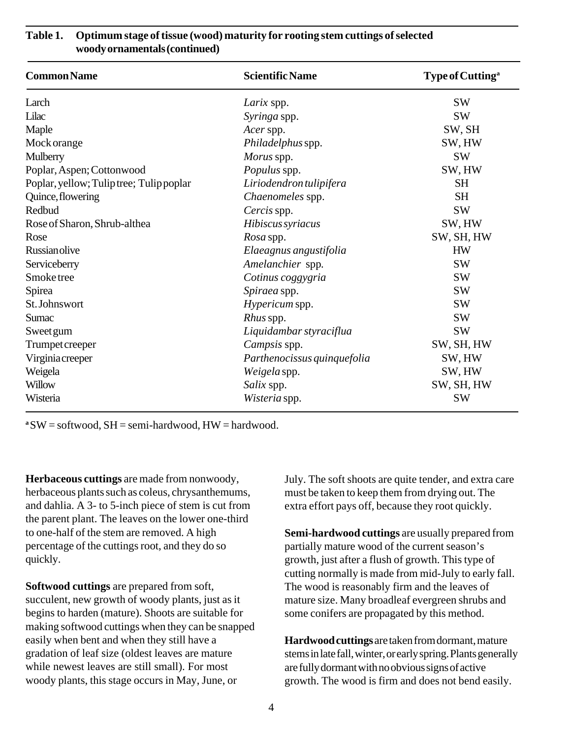| <b>Common Name</b>                       | <b>Scientific Name</b>      | Type of Cutting <sup>a</sup> |
|------------------------------------------|-----------------------------|------------------------------|
| Larch                                    | Larix spp.                  | <b>SW</b>                    |
| Lilac                                    | Syringa spp.                | <b>SW</b>                    |
| Maple                                    | Acer spp.                   | SW, SH                       |
| Mock orange                              | Philadelphus spp.           | SW, HW                       |
| Mulberry                                 | Morus spp.                  | <b>SW</b>                    |
| Poplar, Aspen; Cottonwood                | Populus spp.                | SW, HW                       |
| Poplar, yellow; Tulip tree; Tulip poplar | Liriodendron tulipifera     | <b>SH</b>                    |
| Quince, flowering                        | Chaenomeles spp.            | <b>SH</b>                    |
| Redbud                                   | Cercis spp.                 | <b>SW</b>                    |
| Rose of Sharon, Shrub-althea             | Hibiscus syriacus           | SW, HW                       |
| Rose                                     | Rosa spp.                   | SW, SH, HW                   |
| Russian olive                            | Elaeagnus angustifolia      | <b>HW</b>                    |
| Serviceberry                             | Amelanchier spp.            | <b>SW</b>                    |
| Smoke tree                               | Cotinus coggygria           | <b>SW</b>                    |
| Spirea                                   | Spiraea spp.                | <b>SW</b>                    |
| St. Johnswort                            | <i>Hypericum</i> spp.       | <b>SW</b>                    |
| Sumac                                    | <i>Rhus</i> spp.            | <b>SW</b>                    |
| <b>Sweet gum</b>                         | Liquidambar styraciflua     | <b>SW</b>                    |
| Trumpet creeper                          | Campsis spp.                | SW, SH, HW                   |
| Virginiacreeper                          | Parthenocissus quinquefolia | SW, HW                       |
| Weigela                                  | Weigela spp.                | SW, HW                       |
| Willow                                   | Salix spp.                  | SW, SH, HW                   |
| Wisteria                                 | Wisteria spp.               | <b>SW</b>                    |

#### **Table 1. Optimum stage of tissue (wood) maturity for rooting stem cuttings of selected woody ornamentals (continued)**

**a** SW = softwood, SH = semi-hardwood, HW = hardwood.

**Herbaceous cuttings** are made from nonwoody, herbaceous plants such as coleus, chrysanthemums, and dahlia. A 3- to 5-inch piece of stem is cut from the parent plant. The leaves on the lower one-third to one-half of the stem are removed. A high percentage of the cuttings root, and they do so quickly.

**Softwood cuttings** are prepared from soft, succulent, new growth of woody plants, just as it begins to harden (mature). Shoots are suitable for making softwood cuttings when they can be snapped easily when bent and when they still have a gradation of leaf size (oldest leaves are mature while newest leaves are still small). For most woody plants, this stage occurs in May, June, or

July. The soft shoots are quite tender, and extra care must be taken to keep them from drying out. The extra effort pays off, because they root quickly.

**Semi-hardwood cuttings** are usually prepared from partially mature wood of the current season's growth, just after a flush of growth. This type of cutting normally is made from mid-July to early fall. The wood is reasonably firm and the leaves of mature size. Many broadleaf evergreen shrubs and some conifers are propagated by this method.

**Hardwood cuttings** are taken from dormant, mature stems in late fall, winter, or early spring. Plants generally are fully dormant with no obvious signs of active growth. The wood is firm and does not bend easily.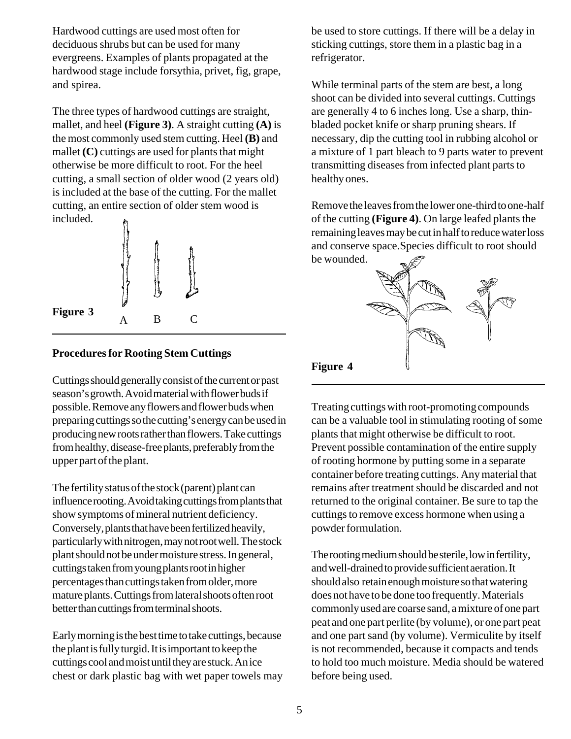Hardwood cuttings are used most often for deciduous shrubs but can be used for many evergreens. Examples of plants propagated at the hardwood stage include forsythia, privet, fig, grape, and spirea.

The three types of hardwood cuttings are straight, mallet, and heel **(Figure 3)**. A straight cutting **(A)** is the most commonly used stem cutting. Heel **(B)** and mallet  $(C)$  cuttings are used for plants that might otherwise be more difficult to root. For the heel cutting, a small section of older wood (2 years old) is included at the base of the cutting. For the mallet cutting, an entire section of older stem wood is included.



## **Procedures for Rooting Stem Cuttings**

Cuttings should generally consist of the current or past season's growth. Avoid material with flower buds if possible. Remove any flowers and flower buds when preparing cuttings so the cutting's energy can be used in producing new roots rather than flowers. Take cuttings from healthy, disease-free plants, preferably from the upper part of the plant.

The fertility status of the stock (parent) plant can influence rooting. Avoid taking cuttings from plants that show symptoms of mineral nutrient deficiency. Conversely, plants that have been fertilized heavily, particularly with nitrogen, may not root well. The stock plant should not be under moisture stress. In general, cuttings taken from young plants root in higher percentages than cuttings taken from older, more mature plants. Cuttings from lateral shoots often root better than cuttings from terminal shoots.

Early morning is the best time to take cuttings, because the plant is fully turgid. It is important to keep the cuttings cool and moist until they are stuck. An ice chest or dark plastic bag with wet paper towels may be used to store cuttings. If there will be a delay in sticking cuttings, store them in a plastic bag in a refrigerator.

While terminal parts of the stem are best, a long shoot can be divided into several cuttings. Cuttings are generally 4 to 6 inches long. Use a sharp, thinbladed pocket knife or sharp pruning shears. If necessary, dip the cutting tool in rubbing alcohol or a mixture of 1 part bleach to 9 parts water to prevent transmitting diseases from infected plant parts to healthy ones.

Remove the leaves from the lower one-third to one-half of the cutting **(Figure 4)**. On large leafed plants the remaining leaves may be cut in half to reduce water loss and conserve space.Species difficult to root should be wounded.



Treating cuttings with root-promoting compounds can be a valuable tool in stimulating rooting of some plants that might otherwise be difficult to root. Prevent possible contamination of the entire supply of rooting hormone by putting some in a separate container before treating cuttings. Any material that remains after treatment should be discarded and not returned to the original container. Be sure to tap the cuttings to remove excess hormone when using a powder formulation.

The rooting medium should be sterile, low in fertility, and well-drained to provide sufficient aeration. It should also retain enough moisture so that watering does not have to be done too frequently. Materials commonly used are coarse sand, a mixture of one part peat and one part perlite (by volume), or one part peat and one part sand (by volume). Vermiculite by itself is not recommended, because it compacts and tends to hold too much moisture. Media should be watered before being used.